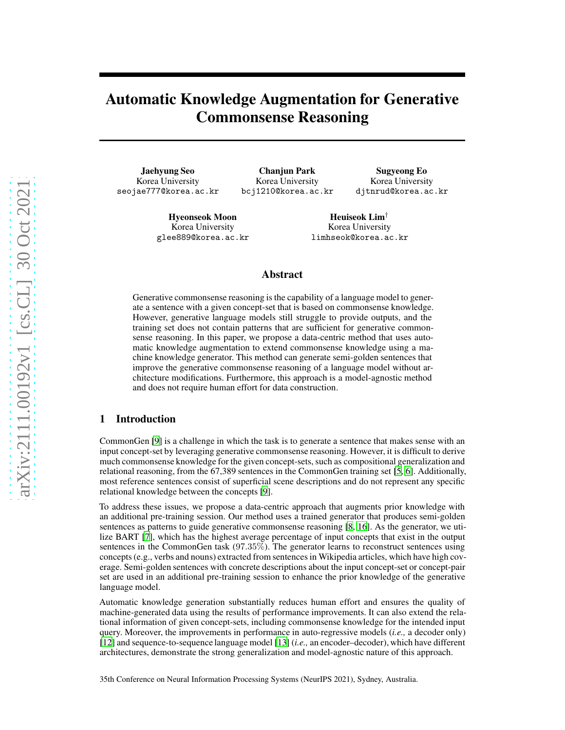# Automatic Knowledge Augmentation for Generative Commonsense Reasoning

Jaehyung Seo Korea University seojae777@korea.ac.kr

Chanjun Park Korea University bcj1210@korea.ac.kr

Sugyeong Eo Korea University djtnrud@korea.ac.kr

Hyeonseok Moon Korea University glee889@korea.ac.kr

Heuiseok Lim† Korea University limhseok@korea.ac.kr

## Abstract

Generative commonsense reasoning is the capability of a language model to generate a sentence with a given concept-set that is based on commonsense knowledge. However, generative language models still struggle to provide outputs, and the training set does not contain patterns that are sufficient for generative commonsense reasoning. In this paper, we propose a data-centric method that uses automatic knowledge augmentation to extend commonsense knowledge using a machine knowledge generator. This method can generate semi-golden sentences that improve the generative commonsense reasoning of a language model without architecture modifications. Furthermore, this approach is a model-agnostic method and does not require human effort for data construction.

## 1 Introduction

CommonGen [\[9\]](#page-2-0) is a challenge in which the task is to generate a sentence that makes sense with an input concept-set by leveraging generative commonsense reasoning. However, it is difficult to derive much commonsense knowledge for the given concept-sets, such as compositional generalization and relational reasoning, from the 67,389 sentences in the CommonGen training set [\[5,](#page-2-1) [6\]](#page-2-2). Additionally, most reference sentences consist of superficial scene descriptions and do not represent any specific relational knowledge between the concepts [\[9](#page-2-0)].

To address these issues, we propose a data-centric approach that augments prior knowledge with an additional pre-training session. Our method uses a trained generator that produces semi-golden sentences as patterns to guide generative commonsense reasoning [\[8,](#page-2-3) [16\]](#page-3-0). As the generator, we utilize BART [\[7](#page-2-4)], which has the highest average percentage of input concepts that exist in the output sentences in the CommonGen task (97.35%). The generator learns to reconstruct sentences using concepts (e.g., verbs and nouns) extracted from sentences in Wikipedia articles, which have high coverage. Semi-golden sentences with concrete descriptions about the input concept-set or concept-pair set are used in an additional pre-training session to enhance the prior knowledge of the generative language model.

Automatic knowledge generation substantially reduces human effort and ensures the quality of machine-generated data using the results of performance improvements. It can also extend the relational information of given concept-sets, including commonsense knowledge for the intended input query. Moreover, the improvements in performance in auto-regressive models (*i.e.,* a decoder only) [\[12](#page-2-5)] and sequence-to-sequence language model [\[13\]](#page-3-1) (*i.e.,* an encoder–decoder), which have different architectures, demonstrate the strong generalization and model-agnostic nature of this approach.

35th Conference on Neural Information Processing Systems (NeurIPS 2021), Sydney, Australia.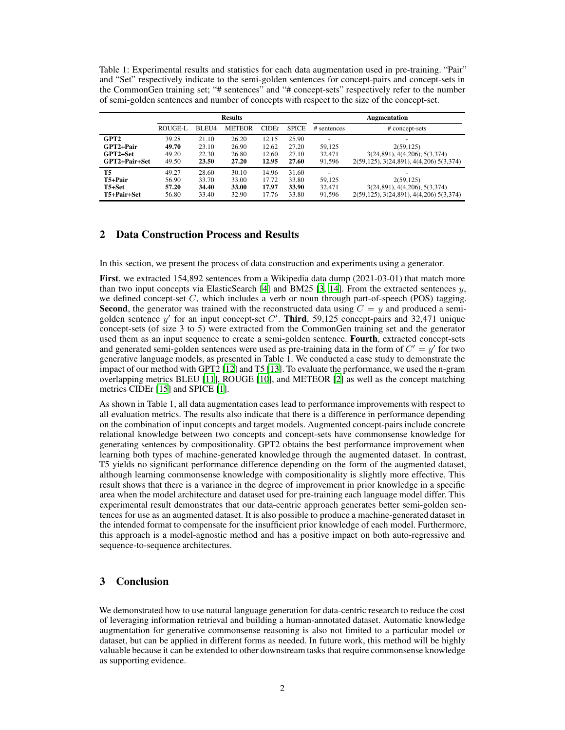Table 1: Experimental results and statistics for each data augmentation used in pre-training. "Pair" and "Set" respectively indicate to the semi-golden sentences for concept-pairs and concept-sets in the CommonGen training set; "# sentences" and "# concept-sets" respectively refer to the number of semi-golden sentences and number of concepts with respect to the size of the concept-set.

|                  | <b>Results</b> |                   |               |               |              | <b>Augmentation</b> |                                         |
|------------------|----------------|-------------------|---------------|---------------|--------------|---------------------|-----------------------------------------|
|                  | ROUGE-L        | BLEU <sub>4</sub> | <b>METEOR</b> | <b>CIDE</b> r | <b>SPICE</b> | # sentences         | # concept-sets                          |
| GPT <sub>2</sub> | 39.28          | 21.10             | 26.20         | 12.15         | 25.90        |                     |                                         |
| GPT2+Pair        | 49.70          | 23.10             | 26.90         | 12.62         | 27.20        | 59.125              | 2(59, 125)                              |
| GPT2+Set         | 49.20          | 22.30             | 26.80         | 12.60         | 27.10        | 32.471              | 3(24,891), 4(4,206), 5(3,374)           |
| GPT2+Pair+Set    | 49.50          | 23.50             | 27.20         | 12.95         | 27.60        | 91,596              | 2(59,125), 3(24,891), 4(4,206) 5(3,374) |
| <b>T5</b>        | 49.27          | 28.60             | 30.10         | 14.96         | 31.60        |                     | -                                       |
| $T5+Pair$        | 56.90          | 33.70             | 33.00         | 17.72         | 33.80        | 59,125              | 2(59, 125)                              |
| $T5 + Set$       | 57.20          | 34.40             | 33.00         | 17.97         | 33.90        | 32.471              | 3(24,891), 4(4,206), 5(3,374)           |
| T5+Pair+Set      | 56.80          | 33.40             | 32.90         | 17.76         | 33.80        | 91,596              | 2(59,125), 3(24,891), 4(4,206) 5(3,374) |

## 2 Data Construction Process and Results

In this section, we present the process of data construction and experiments using a generator.

First, we extracted 154,892 sentences from a Wikipedia data dump (2021-03-01) that match more than two input concepts via ElasticSearch [\[4\]](#page-2-6) and BM25 [\[3](#page-2-7), [14\]](#page-3-2). From the extracted sentences  $y$ , we defined concept-set  $C$ , which includes a verb or noun through part-of-speech (POS) tagging. **Second**, the generator was trained with the reconstructed data using  $C = y$  and produced a semigolden sentence  $y'$  for an input concept-set  $C'$ . Third, 59,125 concept-pairs and 32,471 unique concept-sets (of size 3 to 5) were extracted from the CommonGen training set and the generator used them as an input sequence to create a semi-golden sentence. Fourth, extracted concept-sets and generated semi-golden sentences were used as pre-training data in the form of  $C' = y'$  for two generative language models, as presented in Table 1. We conducted a case study to demonstrate the impact of our method with GPT2 [\[12](#page-2-5)] and T5 [\[13\]](#page-3-1). To evaluate the performance, we used the n-gram overlapping metrics BLEU [\[11\]](#page-2-8), ROUGE [\[10](#page-2-9)], and METEOR [\[2](#page-2-10)] as well as the concept matching metrics CIDEr [\[15](#page-3-3)] and SPICE [\[1\]](#page-2-11).

As shown in Table 1, all data augmentation cases lead to performance improvements with respect to all evaluation metrics. The results also indicate that there is a difference in performance depending on the combination of input concepts and target models. Augmented concept-pairs include concrete relational knowledge between two concepts and concept-sets have commonsense knowledge for generating sentences by compositionality. GPT2 obtains the best performance improvement when learning both types of machine-generated knowledge through the augmented dataset. In contrast, T5 yields no significant performance difference depending on the form of the augmented dataset, although learning commonsense knowledge with compositionality is slightly more effective. This result shows that there is a variance in the degree of improvement in prior knowledge in a specific area when the model architecture and dataset used for pre-training each language model differ. This experimental result demonstrates that our data-centric approach generates better semi-golden sentences for use as an augmented dataset. It is also possible to produce a machine-generated dataset in the intended format to compensate for the insufficient prior knowledge of each model. Furthermore, this approach is a model-agnostic method and has a positive impact on both auto-regressive and sequence-to-sequence architectures.

### 3 Conclusion

We demonstrated how to use natural language generation for data-centric research to reduce the cost of leveraging information retrieval and building a human-annotated dataset. Automatic knowledge augmentation for generative commonsense reasoning is also not limited to a particular model or dataset, but can be applied in different forms as needed. In future work, this method will be highly valuable because it can be extended to other downstream tasks that require commonsense knowledge as supporting evidence.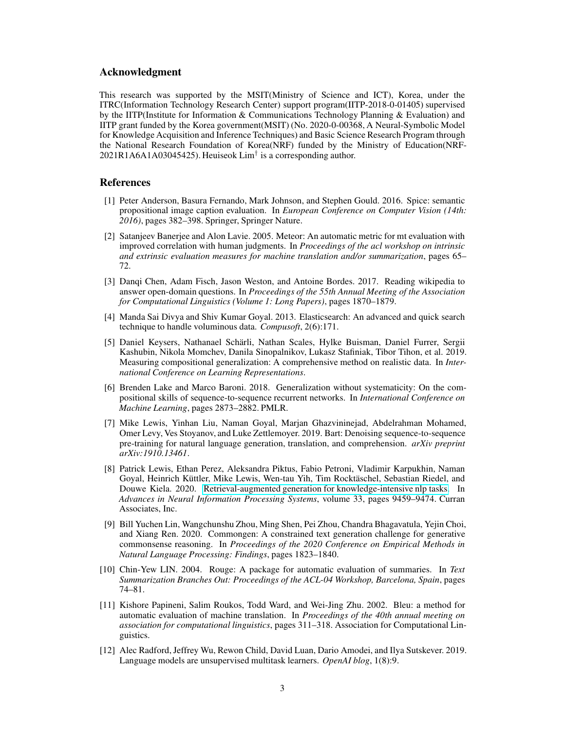#### Acknowledgment

This research was supported by the MSIT(Ministry of Science and ICT), Korea, under the ITRC(Information Technology Research Center) support program(IITP-2018-0-01405) supervised by the IITP(Institute for Information & Communications Technology Planning & Evaluation) and IITP grant funded by the Korea government(MSIT) (No. 2020-0-00368, A Neural-Symbolic Model for Knowledge Acquisition and Inference Techniques) and Basic Science Research Program through the National Research Foundation of Korea(NRF) funded by the Ministry of Education(NRF-2021R1A6A1A03045425). Heuiseok Lim<sup>†</sup> is a corresponding author.

## **References**

- <span id="page-2-11"></span>[1] Peter Anderson, Basura Fernando, Mark Johnson, and Stephen Gould. 2016. Spice: semantic propositional image caption evaluation. In *European Conference on Computer Vision (14th: 2016)*, pages 382–398. Springer, Springer Nature.
- <span id="page-2-10"></span>[2] Satanjeev Banerjee and Alon Lavie. 2005. Meteor: An automatic metric for mt evaluation with improved correlation with human judgments. In *Proceedings of the acl workshop on intrinsic and extrinsic evaluation measures for machine translation and/or summarization*, pages 65– 72.
- <span id="page-2-7"></span>[3] Danqi Chen, Adam Fisch, Jason Weston, and Antoine Bordes. 2017. Reading wikipedia to answer open-domain questions. In *Proceedings of the 55th Annual Meeting of the Association for Computational Linguistics (Volume 1: Long Papers)*, pages 1870–1879.
- <span id="page-2-6"></span>[4] Manda Sai Divya and Shiv Kumar Goyal. 2013. Elasticsearch: An advanced and quick search technique to handle voluminous data. *Compusoft*, 2(6):171.
- <span id="page-2-1"></span>[5] Daniel Keysers, Nathanael Schärli, Nathan Scales, Hylke Buisman, Daniel Furrer, Sergii Kashubin, Nikola Momchev, Danila Sinopalnikov, Lukasz Stafiniak, Tibor Tihon, et al. 2019. Measuring compositional generalization: A comprehensive method on realistic data. In *International Conference on Learning Representations*.
- <span id="page-2-2"></span>[6] Brenden Lake and Marco Baroni. 2018. Generalization without systematicity: On the compositional skills of sequence-to-sequence recurrent networks. In *International Conference on Machine Learning*, pages 2873–2882. PMLR.
- <span id="page-2-4"></span>[7] Mike Lewis, Yinhan Liu, Naman Goyal, Marjan Ghazvininejad, Abdelrahman Mohamed, Omer Levy, Ves Stoyanov, and Luke Zettlemoyer. 2019. Bart: Denoising sequence-to-sequence pre-training for natural language generation, translation, and comprehension. *arXiv preprint arXiv:1910.13461*.
- <span id="page-2-3"></span>[8] Patrick Lewis, Ethan Perez, Aleksandra Piktus, Fabio Petroni, Vladimir Karpukhin, Naman Goyal, Heinrich Küttler, Mike Lewis, Wen-tau Yih, Tim Rocktäschel, Sebastian Riedel, and Douwe Kiela. 2020. [Retrieval-augmented generation for knowledge-intensive nlp tasks.](https://proceedings.neurips.cc/paper/2020/file/6b493230205f780e1bc26945df7481e5-Paper.pdf) In *Advances in Neural Information Processing Systems*, volume 33, pages 9459–9474. Curran Associates, Inc.
- <span id="page-2-0"></span>[9] Bill Yuchen Lin, Wangchunshu Zhou, Ming Shen, Pei Zhou, Chandra Bhagavatula, Yejin Choi, and Xiang Ren. 2020. Commongen: A constrained text generation challenge for generative commonsense reasoning. In *Proceedings of the 2020 Conference on Empirical Methods in Natural Language Processing: Findings*, pages 1823–1840.
- <span id="page-2-9"></span>[10] Chin-Yew LIN. 2004. Rouge: A package for automatic evaluation of summaries. In *Text Summarization Branches Out: Proceedings of the ACL-04 Workshop, Barcelona, Spain*, pages 74–81.
- <span id="page-2-8"></span>[11] Kishore Papineni, Salim Roukos, Todd Ward, and Wei-Jing Zhu. 2002. Bleu: a method for automatic evaluation of machine translation. In *Proceedings of the 40th annual meeting on association for computational linguistics*, pages 311–318. Association for Computational Linguistics.
- <span id="page-2-5"></span>[12] Alec Radford, Jeffrey Wu, Rewon Child, David Luan, Dario Amodei, and Ilya Sutskever. 2019. Language models are unsupervised multitask learners. *OpenAI blog*, 1(8):9.